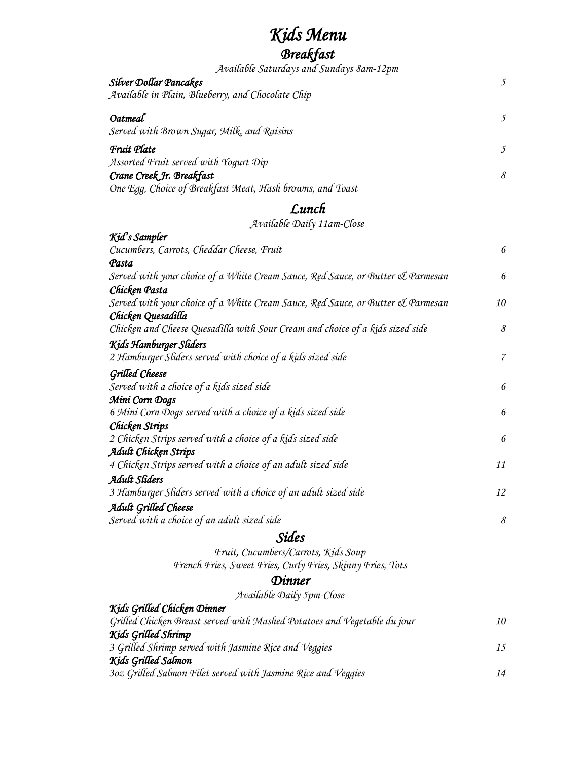## *Kids Menu*

## *Breakfast*

| Available Saturdays and Sundays 8am-12pm                                        |                |
|---------------------------------------------------------------------------------|----------------|
| <b>Silver Dollar Pancakes</b>                                                   | $\mathfrak{I}$ |
| Available in Plain, Blueberry, and Chocolate Chip                               |                |
| Oatmeal                                                                         | $\mathfrak{I}$ |
| Served with Brown Sugar, Milk, and Raisins                                      |                |
| <b>Fruit Plate</b>                                                              | 5              |
| Assorted Fruit served with Yogurt Dip                                           |                |
| Crane Creek Jr. Breakfast                                                       | $\mathcal S$   |
| One Egg, Choice of Breakfast Meat, Hash browns, and Toast                       |                |
| Lunch                                                                           |                |
| Available Daily 11am-Close                                                      |                |
| Kid's Sampler                                                                   |                |
| Cucumbers, Carrots, Cheddar Cheese, Fruit                                       | 6              |
| Pasta                                                                           |                |
| Served with your choice of a White Cream Sauce, Red Sauce, or Butter & Parmesan | 6              |
| Chicken Pasta                                                                   |                |
| Served with your choice of a White Cream Sauce, Red Sauce, or Butter & Parmesan | 10             |
| Chicken Quesadilla                                                              |                |
| Chicken and Cheese Quesadilla with Sour Cream and choice of a kids sized side   | $\mathcal S$   |
| Kids Hamburger Sliders                                                          |                |
| 2 Hamburger Sliders served with choice of a kids sized side                     | $\overline{7}$ |
|                                                                                 |                |
| <b>Grilled Cheese</b>                                                           |                |
| Served with a choice of a kids sized side                                       | 6              |
| Mini Corn Dogs                                                                  |                |
| 6 Mini Corn Dogs served with a choice of a kids sized side                      | 6              |
| Chicken Strips                                                                  |                |
| 2 Chicken Strips served with a choice of a kids sized side                      | 6              |
| Adult Chicken Strips                                                            |                |
| 4 Chicken Strips served with a choice of an adult sized side                    | 11             |
| Adult Sliders                                                                   |                |
| 3 Hamburger Sliders served with a choice of an adult sized side                 | 12             |
| Adult Grilled Cheese                                                            |                |
| Served with a choice of an adult sized side                                     | 8              |
| <i>Sides</i>                                                                    |                |
| Fruit, Cucumbers/Carrots, Kids Soup                                             |                |
| French Fries, Sweet Fries, Curly Fries, Skinny Fries, Tots                      |                |
| Dinner                                                                          |                |
| Available Daily 5pm-Close                                                       |                |
| Kids Grilled Chicken Dinner                                                     |                |
| Grilled Chicken Breast served with Mashed Potatoes and Vegetable du jour        | 10             |
| Kids Grilled Shrimp                                                             |                |
| 3 Grilled Shrimp served with Jasmine Rice and Veggies                           | 15             |
| Kids Grilled Salmon                                                             |                |
| 3oz Grilled Salmon Filet served with Jasmine Rice and Veggies                   | 14             |
|                                                                                 |                |